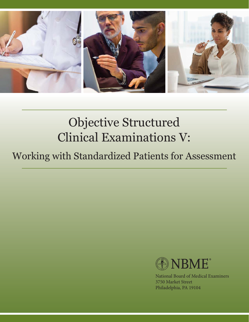

# Objective Structured Clinical Examinations V:

## Working with Standardized Patients for Assessment



National Board of Medical Examiners 3750 Market Street Philadelphia, PA 19104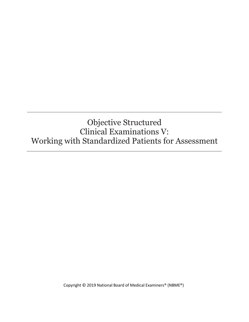### Objective Structured Clinical Examinations V: Working with Standardized Patients for Assessment

Copyright © 2019 National Board of Medical Examiners® (NBME®)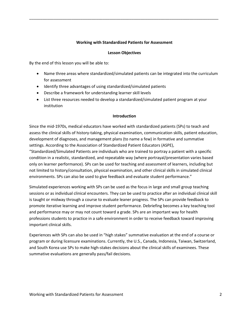#### **Working with Standardized Patients for Assessment**

\_\_\_\_\_\_\_\_\_\_\_\_\_\_\_\_\_\_\_\_\_\_\_\_\_\_\_\_\_\_\_\_\_\_\_\_\_\_\_\_\_\_\_\_\_\_\_\_\_\_\_\_\_\_\_\_\_\_\_\_\_\_\_\_\_\_\_\_\_\_\_\_\_\_\_\_\_\_\_\_\_\_\_\_\_

#### **Lesson Objectives**

By the end of this lesson you will be able to:

- Name three areas where standardized/simulated patients can be integrated into the curriculum for assessment
- Identify three advantages of using standardized/simulated patients
- Describe a framework for understanding learner skill levels
- List three resources needed to develop a standardized/simulated patient program at your institution

#### **Introduction**

Since the mid-1970s, medical educators have worked with standardized patients (SPs) to teach and assess the clinical skills of history-taking, physical examination, communication skills, patient education, development of diagnoses, and management plans (to name a few) in formative and summative settings. According to the Association of Standardized Patient Educators (ASPE),

"Standardized/Simulated Patients are individuals who are trained to portray a patient with a specific condition in a realistic, standardized, and repeatable way (where portrayal/presentation varies based only on learner performance). SPs can be used for teaching and assessment of learners, including but not limited to history/consultation, physical examination, and other clinical skills in simulated clinical environments. SPs can also be used to give feedback and evaluate student performance."

Simulated experiences working with SPs can be used as the focus in large and small group teaching sessions or as individual clinical encounters. They can be used to practice after an individual clinical skill is taught or midway through a course to evaluate leaner progress. The SPs can provide feedback to promote iterative learning and improve student performance. Debriefing becomes a key teaching tool and performance may or may not count toward a grade. SPs are an important way for health professions students to practice in a safe environment in order to receive feedback toward improving important clinical skills.

Experiences with SPs can also be used in "high stakes" summative evaluation at the end of a course or program or during licensure examinations. Currently, the U.S., Canada, Indonesia, Taiwan, Switzerland, and South Korea use SPs to make high-stakes decisions about the clinical skills of examinees. These summative evaluations are generally pass/fail decisions.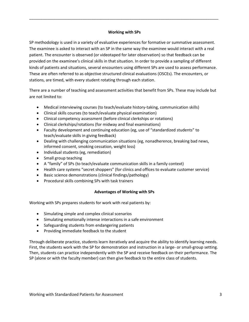#### **Working with SPs**

\_\_\_\_\_\_\_\_\_\_\_\_\_\_\_\_\_\_\_\_\_\_\_\_\_\_\_\_\_\_\_\_\_\_\_\_\_\_\_\_\_\_\_\_\_\_\_\_\_\_\_\_\_\_\_\_\_\_\_\_\_\_\_\_\_\_\_\_\_\_\_\_\_\_\_\_\_\_\_\_\_\_\_\_\_

SP methodology is used in a variety of evaluative experiences for formative or summative assessment. The examinee is asked to interact with an SP in the same way the examinee would interact with a real patient. The encounter is observed (or videotaped for later observation) so that feedback can be provided on the examinee's clinical skills in that situation. In order to provide a sampling of different kinds of patients and situations, several encounters using different SPs are used to assess performance. These are often referred to as objective structured clinical evaluations (OSCEs). The encounters, or stations, are timed, with every student rotating through each station.

There are a number of teaching and assessment activities that benefit from SPs. These may include but are not limited to:

- Medical interviewing courses (to teach/evaluate history-taking, communication skills)
- Clinical skills courses (to teach/evaluate physical examination)
- Clinical competency assessment (before clinical clerkships or rotations)
- Clinical clerkships/rotations (for midway and final examinations)
- Faculty development and continuing education (eg, use of "standardized students" to teach/evaluate skills in giving feedback)
- Dealing with challenging communication situations (eg, nonadherence, breaking bad news, informed consent, smoking cessation, weight loss)
- Individual students (eg, remediation)
- Small group teaching
- A "family" of SPs (to teach/evaluate communication skills in a family context)
- Health care systems "secret shoppers" (for clinics and offices to evaluate customer service)
- Basic science demonstrations (clinical findings/pathology)
- Procedural skills combining SPs with task trainers

#### **Advantages of Working with SPs**

Working with SPs prepares students for work with real patients by:

- Simulating simple and complex clinical scenarios
- Simulating emotionally intense interactions in a safe environment
- Safeguarding students from endangering patients
- Providing immediate feedback to the student

Through deliberate practice, students learn iteratively and acquire the ability to identify learning needs. First, the students work with the SP for demonstration and instruction in a large- or small-group setting. Then, students can practice independently with the SP and receive feedback on their performance. The SP (alone or with the faculty member) can then give feedback to the entire class of students.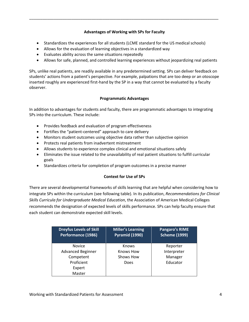#### **Advantages of Working with SPs for Faculty**

\_\_\_\_\_\_\_\_\_\_\_\_\_\_\_\_\_\_\_\_\_\_\_\_\_\_\_\_\_\_\_\_\_\_\_\_\_\_\_\_\_\_\_\_\_\_\_\_\_\_\_\_\_\_\_\_\_\_\_\_\_\_\_\_\_\_\_\_\_\_\_\_\_\_\_\_\_\_\_\_\_\_\_\_\_

- Standardizes the experiences for all students (LCME standard for the US medical schools)
- Allows for the evaluation of learning objectives in a standardized way
- Evaluates ability across the same situations repeatedly
- Allows for safe, planned, and controlled learning experiences without jeopardizing real patients

SPs, unlike real patients, are readily available in any predetermined setting. SPs can deliver feedback on students' actions from a patient's perspective. For example, palpations that are too deep or an otoscope inserted roughly are experienced first-hand by the SP in a way that cannot be evaluated by a faculty observer.

#### **Programmatic Advantages**

In addition to advantages for students and faculty, there are programmatic advantages to integrating SPs into the curriculum. These include:

- Provides feedback and evaluation of program effectiveness
- Fortifies the "patient-centered" approach to care delivery
- Monitors student outcomes using objective data rather than subjective opinion
- Protects real patients from inadvertent mistreatment
- Allows students to experience complex clinical and emotional situations safely
- Eliminates the issue related to the unavailability of real patient situations to fulfill curricular goals
- Standardizes criteria for completion of program outcomes in a precise manner

#### **Context for Use of SPs**

There are several developmental frameworks of skills learning that are helpful when considering how to integrate SPs within the curriculum (see following table). In its publication, *Recommendations for Clinical Skills Curricula for Undergraduate Medical Education*, the Association of American Medical Colleges recommends the designation of expected levels of skills performance. SPs can help faculty ensure that each student can demonstrate expected skill levels.

| <b>Dreyfus Levels of Skill</b><br>Performance (1986) | Miller's Learning<br><b>Pyramid (1990)</b> | <b>Pangaro's RIME</b><br><b>Scheme (1999)</b> |
|------------------------------------------------------|--------------------------------------------|-----------------------------------------------|
| <b>Novice</b>                                        | <b>Knows</b>                               | Reporter                                      |
| <b>Advanced Beginner</b>                             | Knows How                                  | Interpreter                                   |
| Competent                                            | Shows How                                  | Manager                                       |
| Proficient                                           | Does                                       | Educator                                      |
| Expert                                               |                                            |                                               |
| Master                                               |                                            |                                               |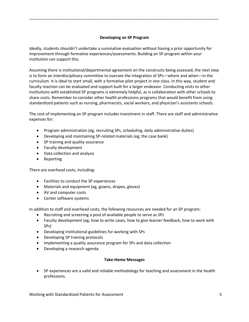#### **Developing an SP Program**

\_\_\_\_\_\_\_\_\_\_\_\_\_\_\_\_\_\_\_\_\_\_\_\_\_\_\_\_\_\_\_\_\_\_\_\_\_\_\_\_\_\_\_\_\_\_\_\_\_\_\_\_\_\_\_\_\_\_\_\_\_\_\_\_\_\_\_\_\_\_\_\_\_\_\_\_\_\_\_\_\_\_\_\_\_

Ideally, students shouldn't undertake a summative evaluation without having a prior opportunity for improvement through formative experiences/assessments. Building an SP program within your institution can support this.

Assuming there is institutional/departmental agreement on the constructs being assessed, the next step is to form an interdisciplinary committee to oversee the integration of SPs—where and when—in the curriculum. It is ideal to start small, with a formative pilot project in one class. In this way, student and faculty reaction can be evaluated and support built for a larger endeavor. Conducting visits to other institutions with established SP programs is extremely helpful, as is collaboration with other schools to share costs. Remember to consider other health professions programs that would benefit from using standardized patients such as nursing, pharmacists, social workers, and physician's assistants schools.

The cost of implementing an SP program includes investment in staff. There are staff and administrative expenses for:

- Program administration (eg, recruiting SPs, scheduling, daily administrative duties)
- Developing and maintaining SP-related materials (eg, the case bank)
- SP training and quality assurance
- Faculty development
- Data collection and analysis
- Reporting

There are overhead costs, including:

- Facilities to conduct the SP experiences
- Materials and equipment (eg, gowns, drapes, gloves)
- AV and computer costs
- Center software systems

In addition to staff and overhead costs, the following resources are needed for an SP program:

- Recruiting and screening a pool of available people to serve as SPs
- Faculty development (eg, how to write cases, how to give learner feedback, how to work with SPs)
- Developing institutional guidelines for working with SPs
- Developing SP training protocols
- Implementing a quality assurance program for SPs and data collection
- Developing a research agenda

#### **Take-Home Messages**

 SP experiences are a valid and reliable methodology for teaching and assessment in the health professions.